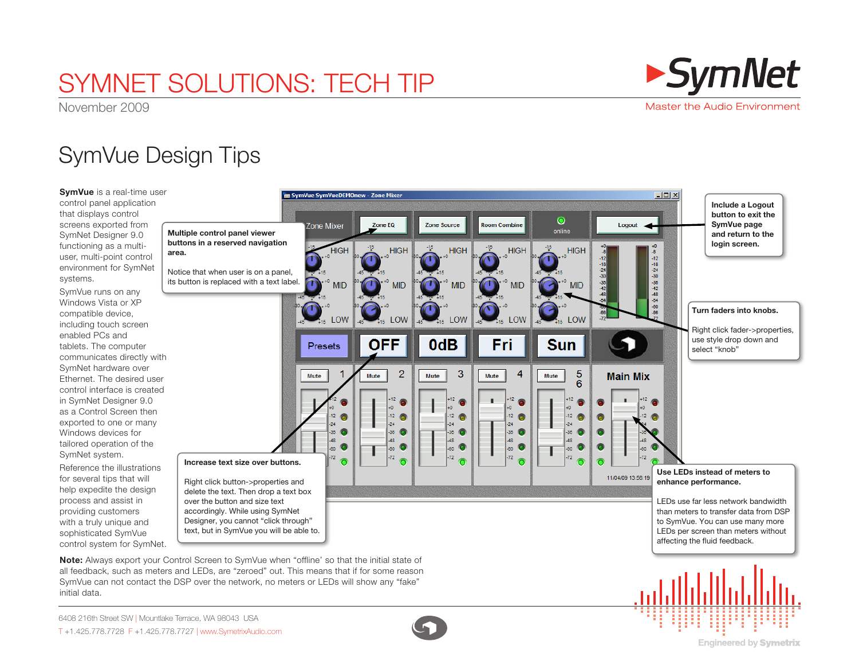## SYMNET SOLUTIONS: TECH TIP

November 2009

**SymNet** 

Master the Audio Environment

## SymVue Design Tips



**Engineered by Symetrix**